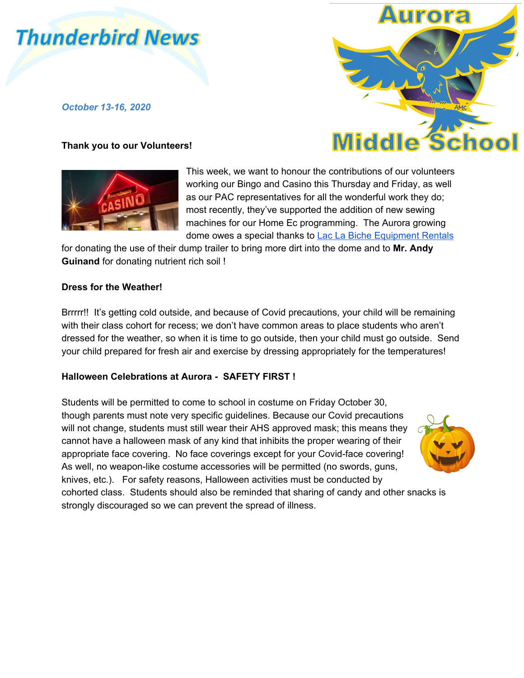# **Thunderbird News**

*October 13-16, 2020*

## **Thank you to our Volunteers!**





for donating the use of their dump trailer to bring more dirt into the dome and to **Mr. Andy Guinand** for donating nutrient rich soil !

### **Dress for the Weather!**

Brrrrr!! It's getting cold outside, and because of Covid precautions, your child will be remaining with their class cohort for recess; we don't have common areas to place students who aren't dressed for the weather, so when it is time to go outside, then your child must go outside. Send your child prepared for fresh air and exercise by dressing appropriately for the temperatures!

## **Halloween Celebrations at Aurora - SAFETY FIRST !**

Students will be permitted to come to school in costume on Friday October 30, though parents must note very specific guidelines. Because our Covid precautions will not change, students must still wear their AHS approved mask; this means they cannot have a halloween mask of any kind that inhibits the proper wearing of their appropriate face covering. No face coverings except for your Covid-face covering! As well, no weapon-like costume accessories will be permitted (no swords, guns, knives, etc.). For safety reasons, Halloween activities must be conducted by cohorted class. Students should also be reminded that sharing of candy and other snacks is strongly discouraged so we can prevent the spread of illness.